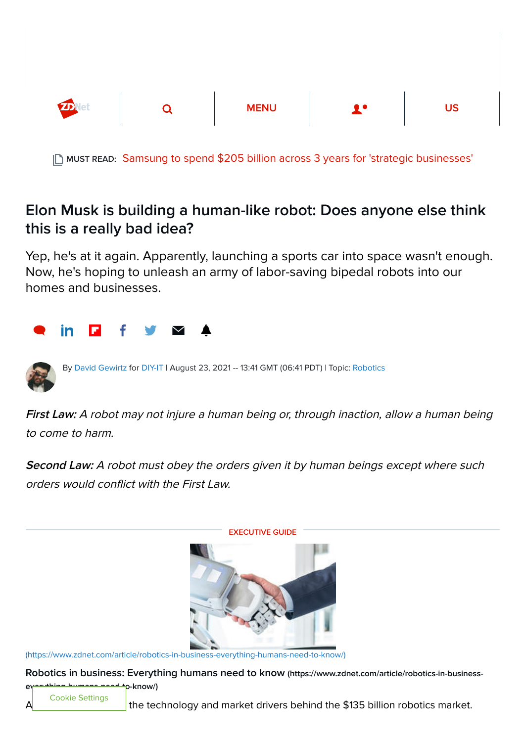

MUST READ: [Samsung to spend \\$205 billion across 3 years for 'strategic businesses'](https://www.zdnet.com/article/samsung-to-spend-205-billion-in-next-3-years-for-strategic-businesses/)

## Elon Musk is building a human-like robot: Does anyone else think this is a really bad idea?

Yep, he's at it again. Apparently, launching a sports car into space wasn't enough. Now, he's hoping to unleash an army of labor-saving bipedal robots into our homes and businesses.



By [David Gewirtz](https://www.zdnet.com/meet-the-team/us/david-gewirtz/) for [DIY-IT](https://www.zdnet.com/blog/diy-it/) | August 23, 2021 -- 13:41 GMT (06:41 PDT) | Topic: [Robotics](https://www.zdnet.com/topic/robotics/)

First Law: A robot may not injure a human being or, through inaction, allow a human being to come to harm.

Second Law: A robot must obey the orders given it by human beings except where such orders would conflict with the First Law.



EXECUTIVE GUIDE

[\(https://www.zdnet.com/article/robotics-in-business-everything-humans-need-to-know/\)](https://www.zdnet.com/article/robotics-in-business-everything-humans-need-to-know/)

[Robotics in business: Everything humans need to know](https://www.zdnet.com/article/robotics-in-business-everything-humans-need-to-know/) (https://www.zdnet.com/article/robotics-in-business-

everything-know  $\eta$ 

Cookie Settings

the technology and market drivers behind the \$135 billion robotics market.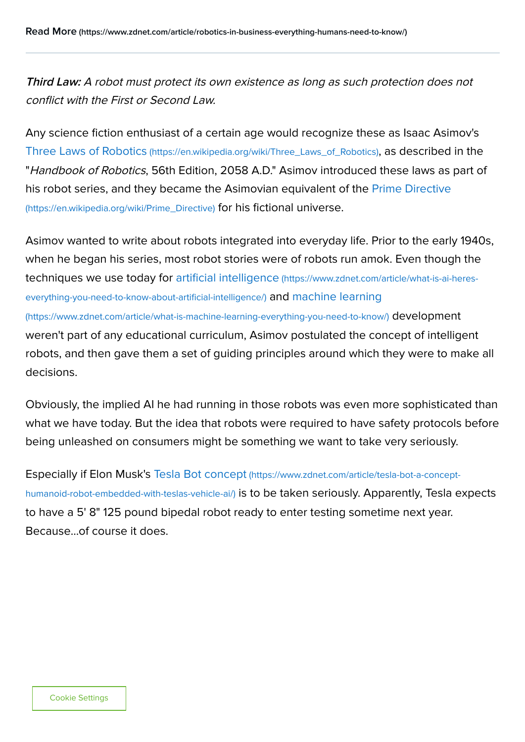Third Law: A robot must protect its own existence as long as such protection does not conflict with the First or Second Law.

Any science fiction enthusiast of a certain age would recognize these as Isaac Asimov's Three Laws of Robotics [\(https://en.wikipedia.org/wiki/Three\\_Laws\\_of\\_Robotics\)](https://en.wikipedia.org/wiki/Three_Laws_of_Robotics), as described in the "Handbook of Robotics, 56th Edition, 2058 A.D." Asimov introduced these laws as part of [his robot series, and they became the Asimovian equivalent of the Prime Directive](https://en.wikipedia.org/wiki/Prime_Directive) (https://en.wikipedia.org/wiki/Prime\_Directive) for his fictional universe.

Asimov wanted to write about robots integrated into everyday life. Prior to the early 1940s, when he began his series, most robot stories were of robots run amok. Even though the [techniques we use today for artificial intelligence](https://www.zdnet.com/article/what-is-ai-heres-everything-you-need-to-know-about-artificial-intelligence/) (https://www.zdnet.com/article/what-is-ai-hereseverything-you-need-to-know-about-artificial-intelligence/) and machine learning [\(https://www.zdnet.com/article/what-is-machine-learning-everything-you-need-to-know/\)](https://www.zdnet.com/article/what-is-machine-learning-everything-you-need-to-know/) development weren't part of any educational curriculum, Asimov postulated the concept of intelligent

robots, and then gave them a set of guiding principles around which they were to make all decisions.

Obviously, the implied AI he had running in those robots was even more sophisticated than what we have today. But the idea that robots were required to have safety protocols before being unleashed on consumers might be something we want to take very seriously.

Especially if Elon Musk's Tesla Bot concept (https://www.zdnet.com/article/tesla-bot-a-concepthumanoid-robot-embedded-with-teslas-vehicle-ai/) [is to be taken seriously. Apparently, Tesla e](https://www.zdnet.com/article/tesla-bot-a-concept-humanoid-robot-embedded-with-teslas-vehicle-ai/)xpects to have a 5' 8" 125 pound bipedal robot ready to enter testing sometime next year. Because...of course it does.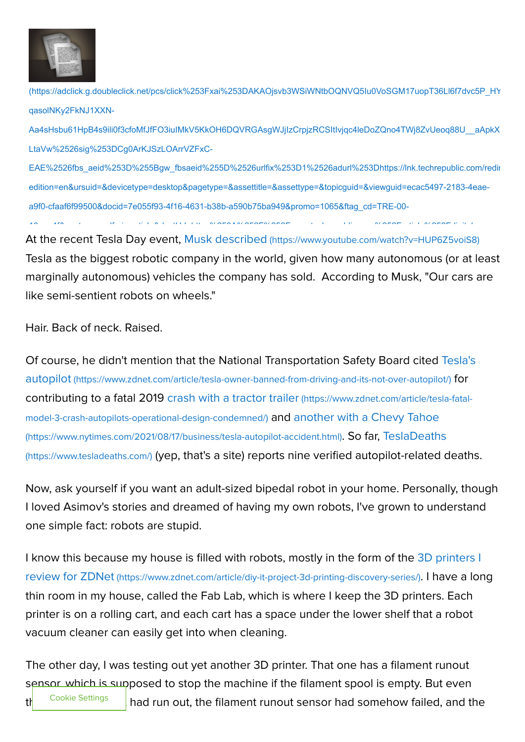

[\(https://adclick.g.doubleclick.net/pcs/click%253Fxai%253DAKAOjsvb3WSiWNtbOQNVQ5Iu0VoSGM17uopT36Ll6f7dvc5P\\_HY](https://adclick.g.doubleclick.net/pcs/click%253Fxai%253DAKAOjsvb3WSiWNtbOQNVQ5Iu0VoSGM17uopT36Ll6f7dvc5P_HYOdm0YaMAeFlMGcHfWKOfXFdY672bTNzs0opchgyPeCnvHZRQRg-qasolNKy2FkNJ1XXN-Aa4sHsbu61HpB4s9ili0f3cfoMfJfFO3iuIMkV5KkOH6DQVRGAsgWJjIzCrpjzRCSItIvjqc4leDoZQno4TWj8ZvUeoq88U__aApkXJMWMXHP8hAzI4o4F39MRAMRzz3nun0UBevjibBhftdQxSfDPFF0XW65mx7hl0g1NXHRvlBnsMwPFO2MmE8vRWjTzkhzSRBCL4sLInX-LtaVw%2526sig%253DCg0ArKJSzLOArrVZFxC-EAE%2526fbs_aeid%253D%255Bgw_fbsaeid%255D%2526urlfix%253D1%2526adurl%253Dhttps://lnk.techrepublic.com/redir?edition=en&ursuid=&devicetype=desktop&pagetype=&assettitle=&assettype=&topicguid=&viewguid=ecac5497-2183-4eae-a9f0-cfaaf6f99500&docid=7e055f93-4f16-4631-b38b-a590b75ba949&promo=1065&ftag_cd=TRE-00-10aaa4f&spotname=dfp-in-article&destUrl=https%253A%252F%252Fwww.techrepublic.com%252Farticle%252Fdigital-nomad-starter-kit-11-essentials-for-remote-workers-on-the-open-road%252F%253Fpromo%253D1065%2526cval%253Ddfp-in-article%2526source%253Dzdnet%2526tid%253D2508211014397079122%2523ftag%253DLGN-09-10aab3i&ctag=medc-proxy&siteId=&rsid=cnetzdnetglobalsite&sl=&sc=us&assetguid=&q=&cval=7e055f93-4f16-4631-b38b-a590b75ba949;1065&ttag=&bhid=&poolid=101&tid=2508211014397079122) qasolNKy2FkNJ1XXN-

Aa4sHsbu61HpB4s9ili0f3cfoMfJfFO3iuIMkV5KkOH6DQVRGAsgWJjIzCrpjzRCSItIvjqc4leDoZQno4TWj8ZvUeoq88U\_\_aApkX LtaVw%2526sig%253DCg0ArKJSzLOArrVZFxC-

EAE%2526fbs\_aeid%253D%255Bgw\_fbsaeid%255D%2526urlfix%253D1%2526adurl%253Dhttps://lnk.techrepublic.com/redir edition=en&ursuid=&devicetype=desktop&pagetype=&assettitle=&assettype=&topicguid=&viewguid=ecac5497-2183-4eaea9f0-cfaaf6f99500&docid=7e055f93-4f16-4631-b38b-a590b75ba949&promo=1065&ftag\_cd=TRE-00- 10 4f after the alapa suaratelement of the set of the second it l suaratelement

At the recent Tesla Day event, Musk described [\(https://www.youtube.com/watch?v=HUP6Z5voiS8\)](https://www.youtube.com/watch?v=HUP6Z5voiS8) Tesla as the biggest robotic company in the world, given how many autonomous (or at least marginally autonomous) vehicles the company has sold. According to Musk, "Our cars are like semi-sentient robots on wheels."

Hair. Back of neck. Raised.

[Of course, he didn't mention that the National Transportation Safety Board cited Tesla's](https://www.zdnet.com/article/tesla-owner-banned-from-driving-and-its-not-over-autopilot/) autopilot (https://www.zdnet.com/article/tesla-owner-banned-from-driving-and-its-not-over-autopilot/) for [contributing to a fatal 2019 crash with a tractor trailer](https://www.zdnet.com/article/tesla-fatal-model-3-crash-autopilots-operational-design-condemned/) (https://www.zdnet.com/article/tesla-fatalmodel-3-crash-autopilots-operational-design-condemned/) and another with a Chevy Tahoe [\(https://www.nytimes.com/2021/08/17/business/tesla-autopilot-accident.html\)](https://www.nytimes.com/2021/08/17/business/tesla-autopilot-accident.html). So far, TeslaDeaths (https://www.tesladeaths.com/) [\(yep, that's a site\) reports nine verified autopilot-related d](https://www.tesladeaths.com/)eaths.

Now, ask yourself if you want an adult-sized bipedal robot in your home. Personally, though I loved Asimov's stories and dreamed of having my own robots, I've grown to understand one simple fact: robots are stupid.

[I know this because my house is filled with robots, mostly in the form of the 3D printers I](https://www.zdnet.com/article/diy-it-project-3d-printing-discovery-series/) review for ZDNet (https://www.zdnet.com/article/diy-it-project-3d-printing-discovery-series/). I have a long thin room in my house, called the Fab Lab, which is where I keep the 3D printers. Each printer is on a rolling cart, and each cart has a space under the lower shelf that a robot vacuum cleaner can easily get into when cleaning.

The other day, I was testing out yet another 3D printer. That one has a filament runout sensor, which is supposed to stop the machine if the filament spool is empty. But even the cookie settings I had run out, the filament runout sensor had somehow failed, and the Cookie Settings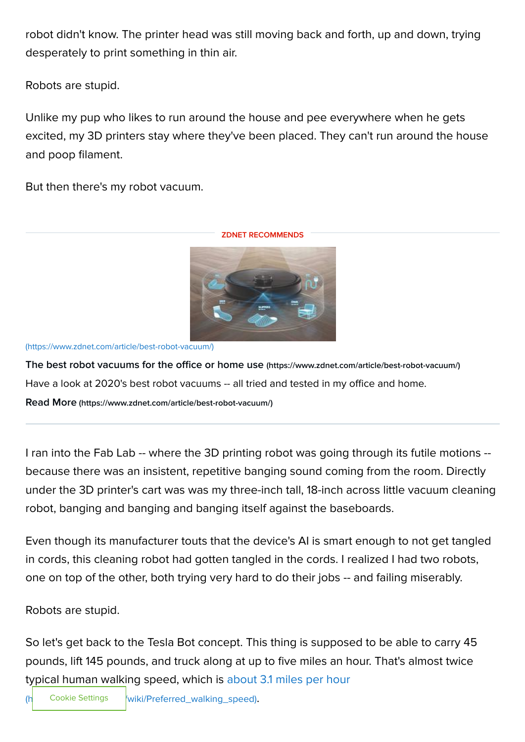robot didn't know. The printer head was still moving back and forth, up and down, trying desperately to print something in thin air.

Robots are stupid.

Unlike my pup who likes to run around the house and pee everywhere when he gets excited, my 3D printers stay where they've been placed. They can't run around the house and poop filament.

But then there's my robot vacuum.

ZDNET RECOMMENDS



[\(https://www.zdnet.com/article/best-robot-vacuum/\)](https://www.zdnet.com/article/best-robot-vacuum/)

[The best robot vacuums for the office or home use](https://www.zdnet.com/article/best-robot-vacuum/) (https://www.zdnet.com/article/best-robot-vacuum/) Have a look at 2020's best robot vacuums -- all tried and tested in my office and home.

Read More [\(https://www.zdnet.com/article/best-robot-vacuum/\)](https://www.zdnet.com/article/best-robot-vacuum/)

I ran into the Fab Lab -- where the 3D printing robot was going through its futile motions - because there was an insistent, repetitive banging sound coming from the room. Directly under the 3D printer's cart was was my three-inch tall, 18-inch across little vacuum cleaning robot, banging and banging and banging itself against the baseboards.

Even though its manufacturer touts that the device's AI is smart enough to not get tangled in cords, this cleaning robot had gotten tangled in the cords. I realized I had two robots, one on top of the other, both trying very hard to do their jobs -- and failing miserably.

Robots are stupid.

So let's get back to the Tesla Bot concept. This thing is supposed to be able to carry 45 pounds, lift 145 pounds, and truck along at up to five miles an hour. That's almost twice [typical human walking speed, which is about 3.1 miles per hour](https://en.wikipedia.org/wiki/Preferred_walking_speed)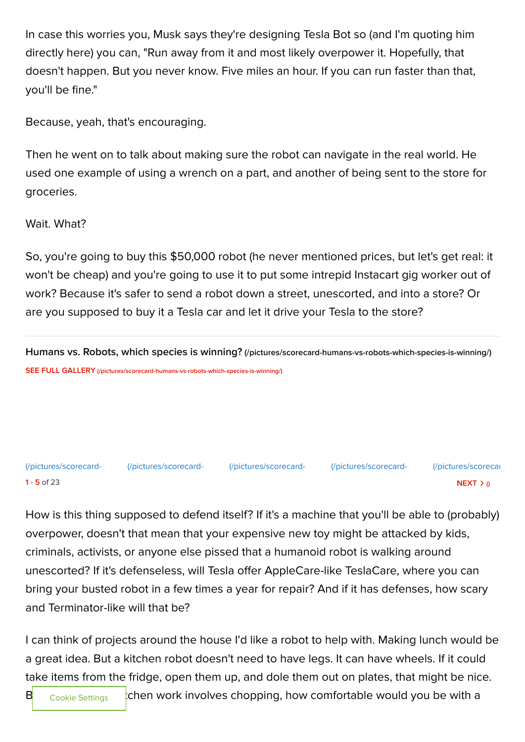In case this worries you, Musk says they're designing Tesla Bot so (and I'm quoting him directly here) you can, "Run away from it and most likely overpower it. Hopefully, that doesn't happen. But you never know. Five miles an hour. If you can run faster than that, you'll be fine."

Because, yeah, that's encouraging.

Then he went on to talk about making sure the robot can navigate in the real world. He used one example of using a wrench on a part, and another of being sent to the store for groceries.

Wait. What?

So, you're going to buy this \$50,000 robot (he never mentioned prices, but let's get real: it won't be cheap) and you're going to use it to put some intrepid Instacart gig worker out of work? Because it's safer to send a robot down a street, unescorted, and into a store? Or are you supposed to buy it a Tesla car and let it drive your Tesla to the store?

[Humans vs. Robots, which species is winning?](https://www.zdnet.com/pictures/scorecard-humans-vs-robots-which-species-is-winning/) (/pictures/scorecard-humans-vs-robots-which-species-is-winning/) SEE FULL GALLERY [\(/pictures/scorecard-humans-vs-robots-which-species-is-winning/\)](https://www.zdnet.com/pictures/scorecard-humans-vs-robots-which-species-is-winning/)

1 - **5** of 23 NEXT  $>0$ [\(/pictures/scorecard-](https://www.zdnet.com/pictures/scorecard-humans-vs-robots-which-species-is-winning/) [\(/pictures/scorecard-](https://www.zdnet.com/pictures/scorecard-humans-vs-robots-which-species-is-winning/2/) [\(/pictures/scorecard-](https://www.zdnet.com/pictures/scorecard-humans-vs-robots-which-species-is-winning/3/) [\(/pictures/scorecard-](https://www.zdnet.com/pictures/scorecard-humans-vs-robots-which-species-is-winning/4/) [\(/pictures/scorecar](https://www.zdnet.com/pictures/scorecard-humans-vs-robots-which-species-is-winning/5/)

How is this thing supposed to defend itself? If it's a machine that you'll be able to (probably) overpower, doesn't that mean that your expensive new toy might be attacked by kids, criminals, activists, or anyone else pissed that a humanoid robot is walking around unescorted? If it's defenseless, will Tesla offer AppleCare-like TeslaCare, where you can bring your busted robot in a few times a year for repair? And if it has defenses, how scary and Terminator-like will that be?

I can think of projects around the house I'd like a robot to help with. Making lunch would be a great idea. But a kitchen robot doesn't need to have legs. It can have wheels. If it could take items from the fridge, open them up, and dole them out on plates, that might be nice.

Cookie Settings

 $\mathbf{B}$  cookie Settings chen work involves chopping, how comfortable would you be with a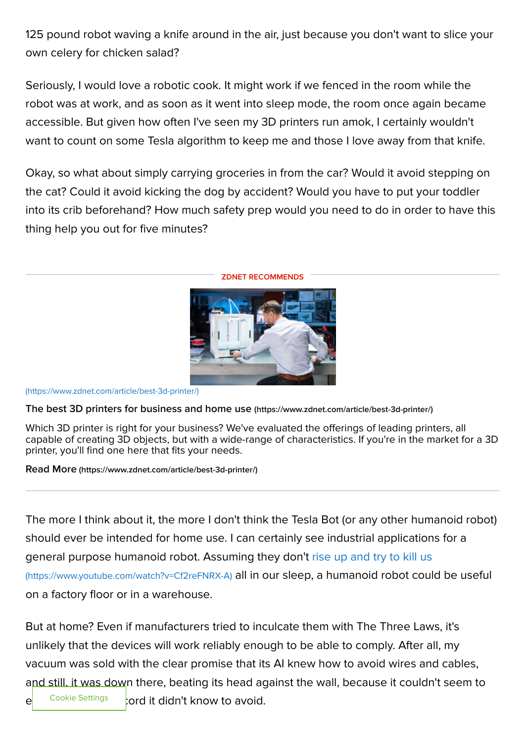125 pound robot waving a knife around in the air, just because you don't want to slice your own celery for chicken salad?

Seriously, I would love a robotic cook. It might work if we fenced in the room while the robot was at work, and as soon as it went into sleep mode, the room once again became accessible. But given how often I've seen my 3D printers run amok, I certainly wouldn't want to count on some Tesla algorithm to keep me and those I love away from that knife.

Okay, so what about simply carrying groceries in from the car? Would it avoid stepping on the cat? Could it avoid kicking the dog by accident? Would you have to put your toddler into its crib beforehand? How much safety prep would you need to do in order to have this thing help you out for five minutes?



ZDNET RECOMMENDS

## [\(https://www.zdnet.com/article/best-3d-printer/\)](https://www.zdnet.com/article/best-3d-printer/)

[The best 3D printers for business and home use](https://www.zdnet.com/article/best-3d-printer/) (https://www.zdnet.com/article/best-3d-printer/)

Which 3D printer is right for your business? We've evaluated the offerings of leading printers, all capable of creating 3D objects, but with a wide-range of characteristics. If you're in the market for a 3D printer, you'll find one here that fits your needs.

Read More [\(https://www.zdnet.com/article/best-3d-printer/\)](https://www.zdnet.com/article/best-3d-printer/)

The more I think about it, the more I don't think the Tesla Bot (or any other humanoid robot) should ever be intended for home use. I can certainly see industrial applications for a [general purpose humanoid robot. Assuming they don't rise up and try to kill us](https://www.youtube.com/watch?v=Cf2reFNRX-A) (https://www.youtube.com/watch?v=Cf2reFNRX-A) all in our sleep, a humanoid robot could be useful on a factory floor or in a warehouse.

But at home? Even if manufacturers tried to inculcate them with The Three Laws, it's unlikely that the devices will work reliably enough to be able to comply. After all, my vacuum was sold with the clear promise that its AI knew how to avoid wires and cables, and still, it was down there, beating its head against the wall, because it couldn't seem to  $\mathsf{e}$  Cookie Settings cord it didn't know to avoid. Cookie Settings